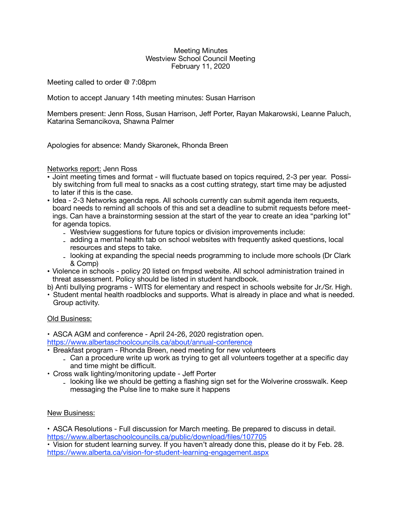#### Meeting Minutes Westview School Council Meeting February 11, 2020

Meeting called to order @ 7:08pm

Motion to accept January 14th meeting minutes: Susan Harrison

Members present: Jenn Ross, Susan Harrison, Jeff Porter, Rayan Makarowski, Leanne Paluch, Katarina Semancikova, Shawna Palmer

Apologies for absence: Mandy Skaronek, Rhonda Breen

### Networks report: Jenn Ross

- Joint meeting times and format will fluctuate based on topics required, 2-3 per year. Possibly switching from full meal to snacks as a cost cutting strategy, start time may be adjusted to later if this is the case.
- Idea 2-3 Networks agenda reps. All schools currently can submit agenda item requests, board needs to remind all schools of this and set a deadline to submit requests before meetings. Can have a brainstorming session at the start of the year to create an idea "parking lot" for agenda topics.
	- Westview suggestions for future topics or division improvements include:
	- adding a mental health tab on school websites with frequently asked questions, local resources and steps to take.
	- looking at expanding the special needs programming to include more schools (Dr Clark & Comp)
- Violence in schools policy 20 listed on fmpsd website. All school administration trained in threat assessment. Policy should be listed in student handbook.
- b) Anti bullying programs WITS for elementary and respect in schools website for Jr./Sr. High.
- Student mental health roadblocks and supports. What is already in place and what is needed. Group activity.

# Old Business:

• ASCA AGM and conference - April 24-26, 2020 registration open.

<https://www.albertaschoolcouncils.ca/about/annual-conference>

- Breakfast program Rhonda Breen, need meeting for new volunteers
	- Can a procedure write up work as trying to get all volunteers together at a specific day and time might be difficult.
- Cross walk lighting/monitoring update Jeff Porter
	- looking like we should be getting a flashing sign set for the Wolverine crosswalk. Keep messaging the Pulse line to make sure it happens

# New Business:

• ASCA Resolutions - Full discussion for March meeting. Be prepared to discuss in detail. <https://www.albertaschoolcouncils.ca/public/download/files/107705>

• Vision for student learning survey. If you haven't already done this, please do it by Feb. 28. <https://www.alberta.ca/vision-for-student-learning-engagement.aspx>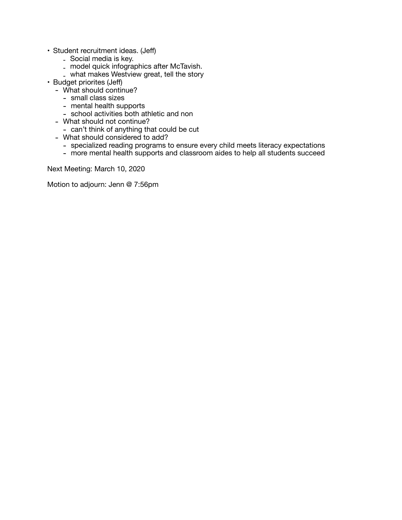- Student recruitment ideas. (Jeff)
	- Social media is key.
	- model quick infographics after McTavish.
	- what makes Westview great, tell the story
- Budget priorites (Jeff)
	- What should continue?
		- small class sizes
		- mental health supports
		- school activities both athletic and non
	- What should not continue?
		- can't think of anything that could be cut
	- What should considered to add?
		- specialized reading programs to ensure every child meets literacy expectations
		- more mental health supports and classroom aides to help all students succeed

Next Meeting: March 10, 2020

Motion to adjourn: Jenn @ 7:56pm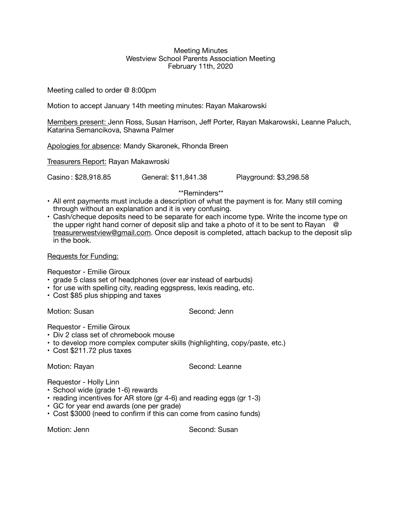#### Meeting Minutes Westview School Parents Association Meeting February 11th, 2020

Meeting called to order @ 8:00pm

Motion to accept January 14th meeting minutes: Rayan Makarowski

Members present: Jenn Ross, Susan Harrison, Jeff Porter, Rayan Makarowski, Leanne Paluch, Katarina Semancikova, Shawna Palmer

Apologies for absence: Mandy Skaronek, Rhonda Breen

Treasurers Report: Rayan Makawroski

Casino : \$28,918.85 General: \$11,841.38 Playground: \$3,298.58

\*\*Reminders\*\*

- All emt payments must include a description of what the payment is for. Many still coming through without an explanation and it is very confusing.
- Cash/cheque deposits need to be separate for each income type. Write the income type on the upper right hand corner of deposit slip and take a photo of it to be sent to Rayan  $\ddot{\circ}$ [treasurerwestview@gmail.com.](mailto:treasurerwestview@gmail.com) Once deposit is completed, attach backup to the deposit slip in the book.

# Requests for Funding:

Requestor - Emilie Giroux

- grade 5 class set of headphones (over ear instead of earbuds)
- for use with spelling city, reading eggspress, lexis reading, etc.
- Cost \$85 plus shipping and taxes

Motion: Susan Second: Jenn

Requestor - Emilie Giroux

- Div 2 class set of chromebook mouse
- to develop more complex computer skills (highlighting, copy/paste, etc.)
- Cost \$211.72 plus taxes

Motion: Rayan **Base Communist Communist Communist Communist Communist Communist Communist Communist Communist Communist Communist Communist Communist Communist Communist Communist Communist Communist Communist Communist Co** 

Requestor - Holly Linn

- School wide (grade 1-6) rewards
- reading incentives for AR store (gr 4-6) and reading eggs (gr 1-3)
- GC for year end awards (one per grade)
- Cost \$3000 (need to confirm if this can come from casino funds)

Motion: Jenn **Branch Communist Communist Communist Communist Communist Communist Communist Communist Communist Communist Communist Communist Communist Communist Communist Communist Communist Communist Communist Communist C**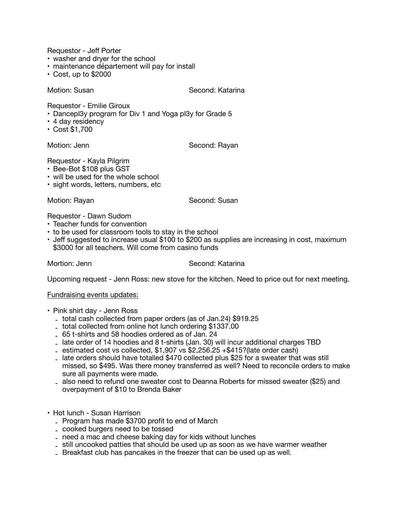Requestor - Jeff Porter

- washer and dryer for the school
- maintenance département will pay for install
- Cost, up to \$2000

Motion: Susan **Calculation: Second: Katarina** 

Requestor - Emilie Giroux

- Dancepl3y program for Div 1 and Yoga pl3y for Grade 5
- 4 day residency
- Cost \$1,700

Motion: Jenn **Base Communist Communist Communist Communist Communist Communist Communist Communist Communist Communist Communist Communist Communist Communist Communist Communist Communist Communist Communist Communist Com** 

Requestor - Kayla Pilgrim

- Bee-Bot \$108 plus GST
- will be used for the whole school
- sight words, letters, numbers, etc

Motion: Rayan **Base Conding Second: Susan** 

Requestor - Dawn Sudom

- Teacher funds for convention
- to be used for classroom tools to stay in the school
- Jeff suggested to increase usual \$100 to \$200 as supplies are increasing in cost, maximum \$3000 for all teachers. Will come from casino funds

### Mortion: Jenn **Mortion:** Jenn

Upcoming request - Jenn Ross: new stove for the kitchen. Need to price out for next meeting.

### Fundraising events updates:

- Pink shirt day Jenn Ross
	- total cash collected from paper orders (as of Jan.24) \$919.25
	- total collected from online hot lunch ordering \$1337.00
	- 65 t-shirts and 58 hoodies ordered as of Jan. 24
	- late order of 14 hoodies and 8 t-shirts (Jan. 30) will incur additional charges TBD
	- estimated cost vs collected,  $$1,907$  vs  $$2,256.25 + $415$ ?(late order cash)
	- late orders should have totalled \$470 collected plus \$25 for a sweater that was still missed, so \$495. Was there money transferred as well? Need to reconcile orders to make sure all payments were made.
	- also need to refund one sweater cost to Deanna Roberts for missed sweater (\$25) and overpayment of \$10 to Brenda Baker
- Hot lunch Susan Harrison
	- Program has made \$3700 profit to end of March
	- cooked burgers need to be tossed
	- need a mac and cheese baking day for kids without lunches
	- still uncooked patties that should be used up as soon as we have warmer weather
	- Breakfast club has pancakes in the freezer that can be used up as well.